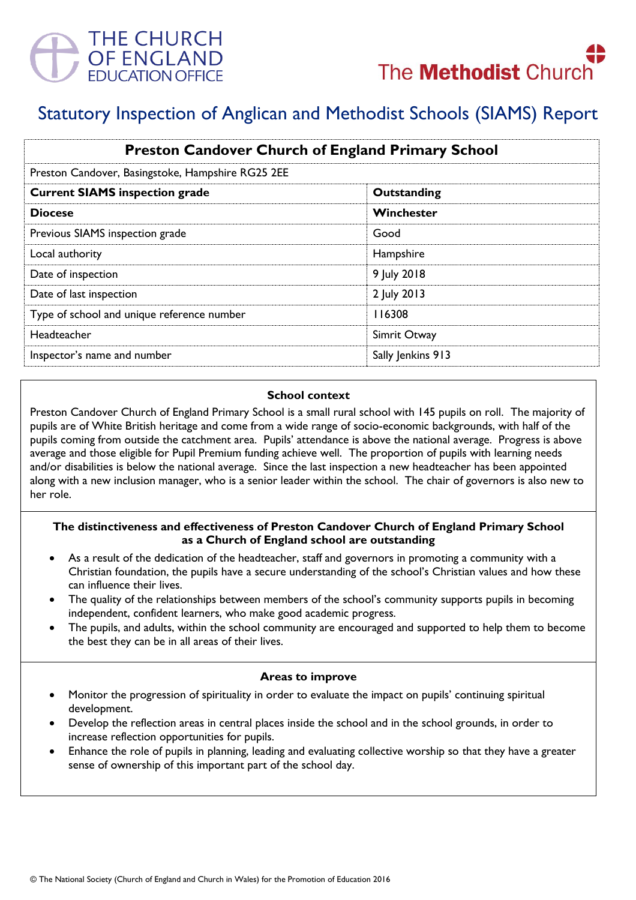



# Statutory Inspection of Anglican and Methodist Schools (SIAMS) Report

| <b>Preston Candover Church of England Primary School</b><br>Preston Candover, Basingstoke, Hampshire RG25 2EE |                   |
|---------------------------------------------------------------------------------------------------------------|-------------------|
|                                                                                                               |                   |
| <b>Diocese</b>                                                                                                | Winchester        |
| Previous SIAMS inspection grade                                                                               | Good              |
| Local authority                                                                                               | Hampshire         |
| Date of inspection                                                                                            | 9 July 2018       |
| Date of last inspection                                                                                       | 2 July 2013       |
| Type of school and unique reference number                                                                    | 116308            |
| Headteacher                                                                                                   | Simrit Otway      |
| Inspector's name and number                                                                                   | Sally Jenkins 913 |

#### **School context**

Preston Candover Church of England Primary School is a small rural school with 145 pupils on roll. The majority of pupils are of White British heritage and come from a wide range of socio-economic backgrounds, with half of the pupils coming from outside the catchment area. Pupils' attendance is above the national average. Progress is above average and those eligible for Pupil Premium funding achieve well. The proportion of pupils with learning needs and/or disabilities is below the national average. Since the last inspection a new headteacher has been appointed along with a new inclusion manager, who is a senior leader within the school. The chair of governors is also new to her role.

# **The distinctiveness and effectiveness of Preston Candover Church of England Primary School as a Church of England school are outstanding**

- As a result of the dedication of the headteacher, staff and governors in promoting a community with a Christian foundation, the pupils have a secure understanding of the school's Christian values and how these can influence their lives.
- The quality of the relationships between members of the school's community supports pupils in becoming independent, confident learners, who make good academic progress.
- The pupils, and adults, within the school community are encouraged and supported to help them to become the best they can be in all areas of their lives.

#### **Areas to improve**

- Monitor the progression of spirituality in order to evaluate the impact on pupils' continuing spiritual development.
- Develop the reflection areas in central places inside the school and in the school grounds, in order to increase reflection opportunities for pupils.
- Enhance the role of pupils in planning, leading and evaluating collective worship so that they have a greater sense of ownership of this important part of the school day.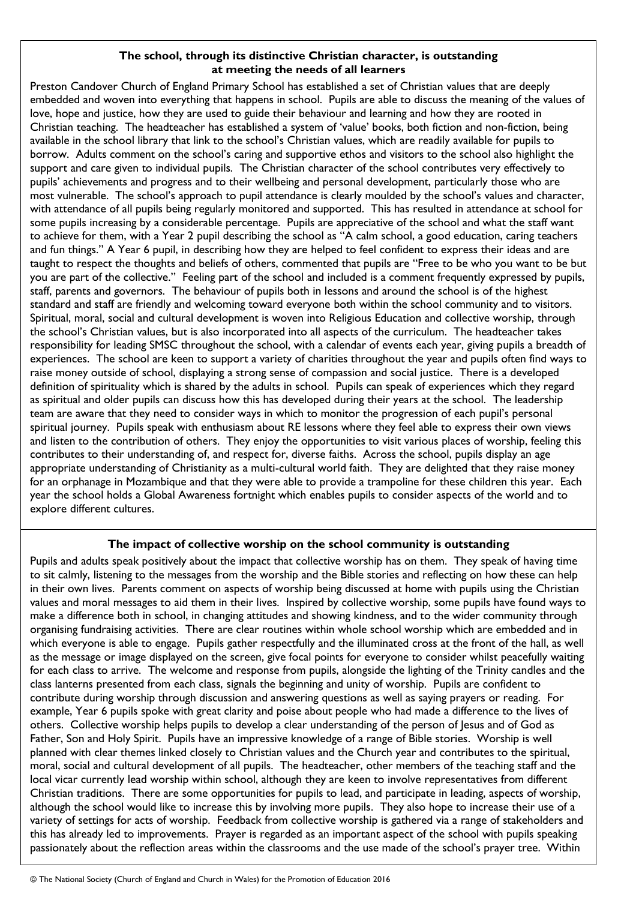## **The school, through its distinctive Christian character, is outstanding at meeting the needs of all learners**

Preston Candover Church of England Primary School has established a set of Christian values that are deeply embedded and woven into everything that happens in school. Pupils are able to discuss the meaning of the values of love, hope and justice, how they are used to guide their behaviour and learning and how they are rooted in Christian teaching. The headteacher has established a system of 'value' books, both fiction and non-fiction, being available in the school library that link to the school's Christian values, which are readily available for pupils to borrow. Adults comment on the school's caring and supportive ethos and visitors to the school also highlight the support and care given to individual pupils. The Christian character of the school contributes very effectively to pupils' achievements and progress and to their wellbeing and personal development, particularly those who are most vulnerable. The school's approach to pupil attendance is clearly moulded by the school's values and character, with attendance of all pupils being regularly monitored and supported. This has resulted in attendance at school for some pupils increasing by a considerable percentage. Pupils are appreciative of the school and what the staff want to achieve for them, with a Year 2 pupil describing the school as "A calm school, a good education, caring teachers and fun things." A Year 6 pupil, in describing how they are helped to feel confident to express their ideas and are taught to respect the thoughts and beliefs of others, commented that pupils are "Free to be who you want to be but you are part of the collective." Feeling part of the school and included is a comment frequently expressed by pupils, staff, parents and governors. The behaviour of pupils both in lessons and around the school is of the highest standard and staff are friendly and welcoming toward everyone both within the school community and to visitors. Spiritual, moral, social and cultural development is woven into Religious Education and collective worship, through the school's Christian values, but is also incorporated into all aspects of the curriculum. The headteacher takes responsibility for leading SMSC throughout the school, with a calendar of events each year, giving pupils a breadth of experiences. The school are keen to support a variety of charities throughout the year and pupils often find ways to raise money outside of school, displaying a strong sense of compassion and social justice. There is a developed definition of spirituality which is shared by the adults in school. Pupils can speak of experiences which they regard as spiritual and older pupils can discuss how this has developed during their years at the school. The leadership team are aware that they need to consider ways in which to monitor the progression of each pupil's personal spiritual journey. Pupils speak with enthusiasm about RE lessons where they feel able to express their own views and listen to the contribution of others. They enjoy the opportunities to visit various places of worship, feeling this contributes to their understanding of, and respect for, diverse faiths. Across the school, pupils display an age appropriate understanding of Christianity as a multi-cultural world faith. They are delighted that they raise money for an orphanage in Mozambique and that they were able to provide a trampoline for these children this year. Each year the school holds a Global Awareness fortnight which enables pupils to consider aspects of the world and to explore different cultures.

# **The impact of collective worship on the school community is outstanding**

Pupils and adults speak positively about the impact that collective worship has on them. They speak of having time to sit calmly, listening to the messages from the worship and the Bible stories and reflecting on how these can help in their own lives. Parents comment on aspects of worship being discussed at home with pupils using the Christian values and moral messages to aid them in their lives. Inspired by collective worship, some pupils have found ways to make a difference both in school, in changing attitudes and showing kindness, and to the wider community through organising fundraising activities. There are clear routines within whole school worship which are embedded and in which everyone is able to engage. Pupils gather respectfully and the illuminated cross at the front of the hall, as well as the message or image displayed on the screen, give focal points for everyone to consider whilst peacefully waiting for each class to arrive. The welcome and response from pupils, alongside the lighting of the Trinity candles and the class lanterns presented from each class, signals the beginning and unity of worship. Pupils are confident to contribute during worship through discussion and answering questions as well as saying prayers or reading. For example, Year 6 pupils spoke with great clarity and poise about people who had made a difference to the lives of others. Collective worship helps pupils to develop a clear understanding of the person of Jesus and of God as Father, Son and Holy Spirit. Pupils have an impressive knowledge of a range of Bible stories. Worship is well planned with clear themes linked closely to Christian values and the Church year and contributes to the spiritual, moral, social and cultural development of all pupils. The headteacher, other members of the teaching staff and the local vicar currently lead worship within school, although they are keen to involve representatives from different Christian traditions. There are some opportunities for pupils to lead, and participate in leading, aspects of worship, although the school would like to increase this by involving more pupils. They also hope to increase their use of a variety of settings for acts of worship. Feedback from collective worship is gathered via a range of stakeholders and this has already led to improvements. Prayer is regarded as an important aspect of the school with pupils speaking passionately about the reflection areas within the classrooms and the use made of the school's prayer tree. Within